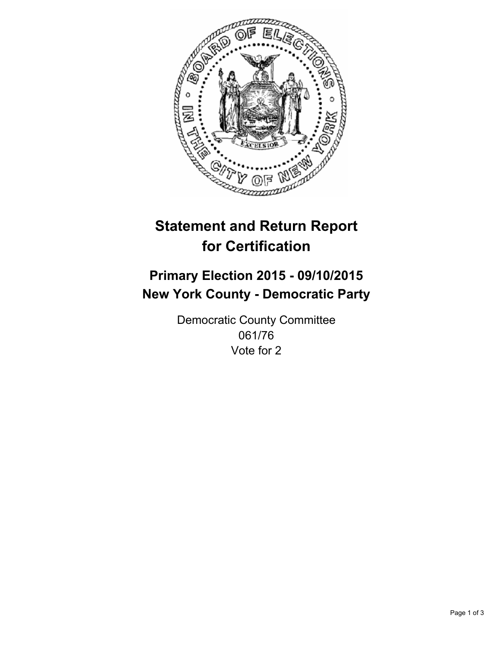

# **Statement and Return Report for Certification**

## **Primary Election 2015 - 09/10/2015 New York County - Democratic Party**

Democratic County Committee 061/76 Vote for 2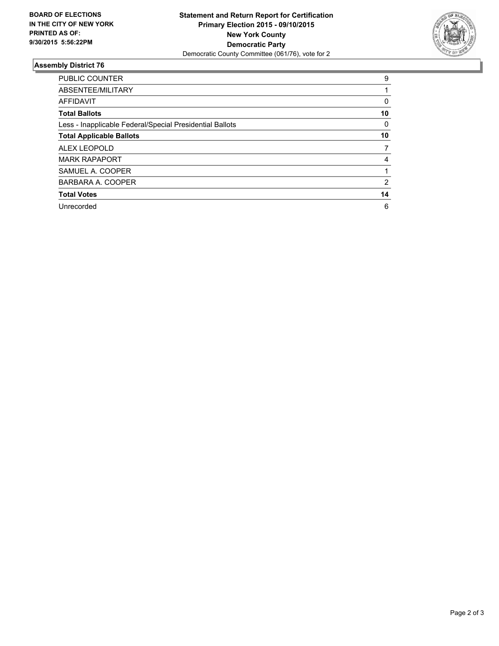

#### **Assembly District 76**

| <b>PUBLIC COUNTER</b>                                    | 9  |
|----------------------------------------------------------|----|
| ABSENTEE/MILITARY                                        |    |
| <b>AFFIDAVIT</b>                                         | 0  |
| <b>Total Ballots</b>                                     | 10 |
| Less - Inapplicable Federal/Special Presidential Ballots | 0  |
| <b>Total Applicable Ballots</b>                          | 10 |
| <b>ALEX LEOPOLD</b>                                      | 7  |
| <b>MARK RAPAPORT</b>                                     | 4  |
| SAMUEL A. COOPER                                         |    |
| BARBARA A. COOPER                                        | 2  |
| <b>Total Votes</b>                                       | 14 |
| Unrecorded                                               | 6  |